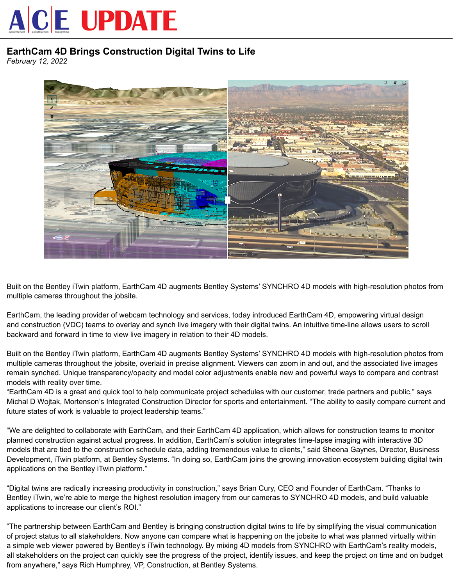## **ACE UPDATE**

## **EarthCam 4D Brings Construction Digital Twins to Life**

*February 12, 2022*



Built on the Bentley iTwin platform, EarthCam 4D augments Bentley Systems' SYNCHRO 4D models with high-resolution photos from multiple cameras throughout the jobsite.

EarthCam, the leading provider of webcam technology and services, today introduced EarthCam 4D, empowering virtual design and construction (VDC) teams to overlay and synch live imagery with their digital twins. An intuitive time-line allows users to scroll backward and forward in time to view live imagery in relation to their 4D models.

Built on the Bentley iTwin platform, EarthCam 4D augments Bentley Systems' SYNCHRO 4D models with high-resolution photos from multiple cameras throughout the jobsite, overlaid in precise alignment. Viewers can zoom in and out, and the associated live images remain synched. Unique transparency/opacity and model color adjustments enable new and powerful ways to compare and contrast models with reality over time.

"EarthCam 4D is a great and quick tool to help communicate project schedules with our customer, trade partners and public," says Michal D Wojtak, Mortenson's Integrated Construction Director for sports and entertainment. "The ability to easily compare current and future states of work is valuable to project leadership teams."

"We are delighted to collaborate with EarthCam, and their EarthCam 4D application, which allows for construction teams to monitor planned construction against actual progress. In addition, EarthCam's solution integrates time-lapse imaging with interactive 3D models that are tied to the construction schedule data, adding tremendous value to clients," said Sheena Gaynes, Director, Business Development, iTwin platform, at Bentley Systems. "In doing so, EarthCam joins the growing innovation ecosystem building digital twin applications on the Bentley iTwin platform."

"Digital twins are radically increasing productivity in construction," says Brian Cury, CEO and Founder of EarthCam. "Thanks to Bentley iTwin, we're able to merge the highest resolution imagery from our cameras to SYNCHRO 4D models, and build valuable applications to increase our client's ROI."

"The partnership between EarthCam and Bentley is bringing construction digital twins to life by simplifying the visual communication of project status to all stakeholders. Now anyone can compare what is happening on the jobsite to what was planned virtually within a simple web viewer powered by Bentley's iTwin technology. By mixing 4D models from SYNCHRO with EarthCam's reality models, all stakeholders on the project can quickly see the progress of the project, identify issues, and keep the project on time and on budget from anywhere," says Rich Humphrey, VP, Construction, at Bentley Systems.